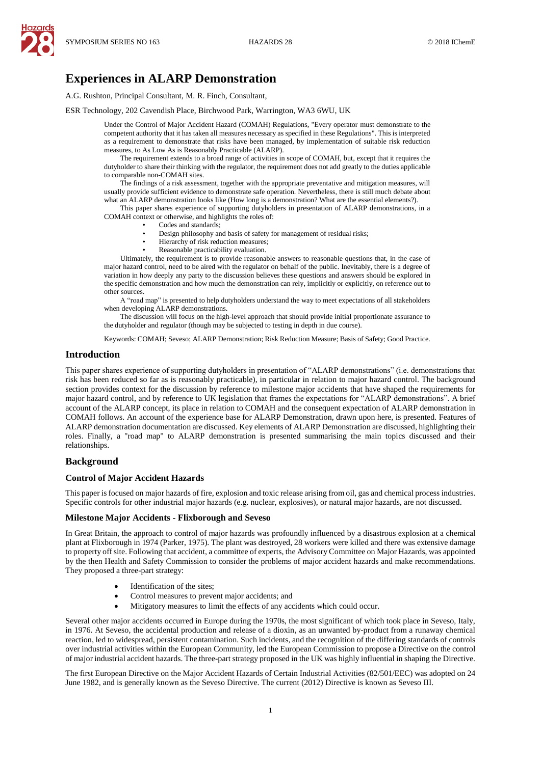

# **Experiences in ALARP Demonstration**

A.G. Rushton, Principal Consultant, M. R. Finch, Consultant,

ESR Technology, 202 Cavendish Place, Birchwood Park, Warrington, WA3 6WU, UK

Under the Control of Major Accident Hazard (COMAH) Regulations, "Every operator must demonstrate to the competent authority that it has taken all measures necessary as specified in these Regulations". This is interpreted as a requirement to demonstrate that risks have been managed, by implementation of suitable risk reduction measures, to As Low As is Reasonably Practicable (ALARP).

The requirement extends to a broad range of activities in scope of COMAH, but, except that it requires the dutyholder to share their thinking with the regulator, the requirement does not add greatly to the duties applicable to comparable non-COMAH sites.

The findings of a risk assessment, together with the appropriate preventative and mitigation measures, will usually provide sufficient evidence to demonstrate safe operation. Nevertheless, there is still much debate about what an ALARP demonstration looks like (How long is a demonstration? What are the essential elements?).

This paper shares experience of supporting dutyholders in presentation of ALARP demonstrations, in a COMAH context or otherwise, and highlights the roles of:

- Codes and standards;
- Design philosophy and basis of safety for management of residual risks;
- Hierarchy of risk reduction measures;
- Reasonable practicability evaluation.

Ultimately, the requirement is to provide reasonable answers to reasonable questions that, in the case of major hazard control, need to be aired with the regulator on behalf of the public. Inevitably, there is a degree of variation in how deeply any party to the discussion believes these questions and answers should be explored in the specific demonstration and how much the demonstration can rely, implicitly or explicitly, on reference out to other sources.

A "road map" is presented to help dutyholders understand the way to meet expectations of all stakeholders when developing ALARP demonstrations.

The discussion will focus on the high-level approach that should provide initial proportionate assurance to the dutyholder and regulator (though may be subjected to testing in depth in due course).

Keywords: COMAH; Seveso; ALARP Demonstration; Risk Reduction Measure; Basis of Safety; Good Practice.

### **Introduction**

This paper shares experience of supporting dutyholders in presentation of "ALARP demonstrations" (i.e. demonstrations that risk has been reduced so far as is reasonably practicable), in particular in relation to major hazard control. The background section provides context for the discussion by reference to milestone major accidents that have shaped the requirements for major hazard control, and by reference to UK legislation that frames the expectations for "ALARP demonstrations". A brief account of the ALARP concept, its place in relation to COMAH and the consequent expectation of ALARP demonstration in COMAH follows. An account of the experience base for ALARP Demonstration, drawn upon here, is presented. Features of ALARP demonstration documentation are discussed. Key elements of ALARP Demonstration are discussed, highlighting their roles. Finally, a "road map" to ALARP demonstration is presented summarising the main topics discussed and their relationships.

### **Background**

#### **Control of Major Accident Hazards**

This paper is focused on major hazards of fire, explosion and toxic release arising from oil, gas and chemical process industries. Specific controls for other industrial major hazards (e.g. nuclear, explosives), or natural major hazards, are not discussed.

#### **Milestone Major Accidents - Flixborough and Seveso**

In Great Britain, the approach to control of major hazards was profoundly influenced by a disastrous explosion at a chemical plant at Flixborough in 1974 (Parker, 1975). The plant was destroyed, 28 workers were killed and there was extensive damage to property off site. Following that accident, a committee of experts, the Advisory Committee on Major Hazards, was appointed by the then Health and Safety Commission to consider the problems of major accident hazards and make recommendations. They proposed a three-part strategy:

- Identification of the sites;
- Control measures to prevent major accidents; and
- Mitigatory measures to limit the effects of any accidents which could occur.

Several other major accidents occurred in Europe during the 1970s, the most significant of which took place in Seveso, Italy, in 1976. At Seveso, the accidental production and release of a dioxin, as an unwanted by-product from a runaway chemical reaction, led to widespread, persistent contamination. Such incidents, and the recognition of the differing standards of controls over industrial activities within the European Community, led the European Commission to propose a Directive on the control of major industrial accident hazards. The three-part strategy proposed in the UK was highly influential in shaping the Directive.

The first European Directive on the Major Accident Hazards of Certain Industrial Activities (82/501/EEC) was adopted on 24 June 1982, and is generally known as the Seveso Directive. The current (2012) Directive is known as Seveso III.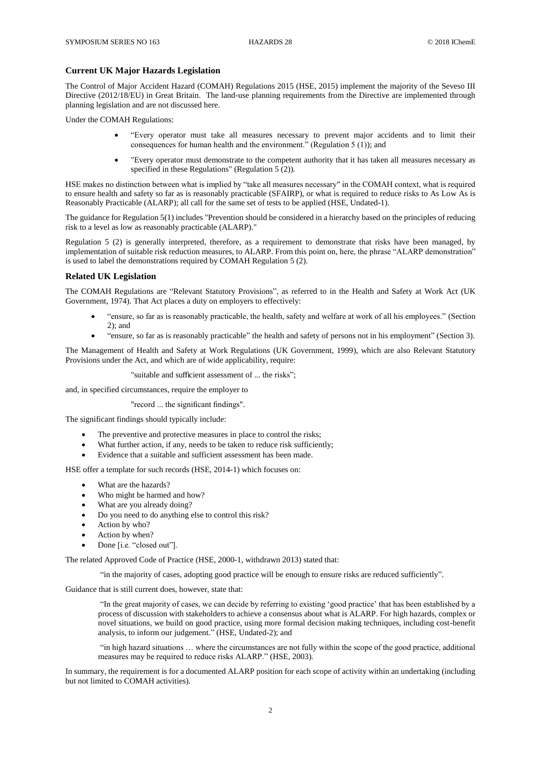### **Current UK Major Hazards Legislation**

The Control of Major Accident Hazard (COMAH) Regulations 2015 (HSE, 2015) implement the majority of the Seveso III Directive (2012/18/EU) in Great Britain. The land-use planning requirements from the Directive are implemented through planning legislation and are not discussed here.

Under the COMAH Regulations:

- "Every operator must take all measures necessary to prevent major accidents and to limit their consequences for human health and the environment." (Regulation 5 (1)); and
- "Every operator must demonstrate to the competent authority that it has taken all measures necessary as specified in these Regulations" (Regulation 5 (2)).

HSE makes no distinction between what is implied by "take all measures necessary" in the COMAH context, what is required to ensure health and safety so far as is reasonably practicable (SFAIRP), or what is required to reduce risks to As Low As is Reasonably Practicable (ALARP); all call for the same set of tests to be applied (HSE, Undated-1).

The guidance for Regulation 5(1) includes "Prevention should be considered in a hierarchy based on the principles of reducing risk to a level as low as reasonably practicable (ALARP)."

Regulation 5 (2) is generally interpreted, therefore, as a requirement to demonstrate that risks have been managed, by implementation of suitable risk reduction measures, to ALARP. From this point on, here, the phrase "ALARP demonstration" is used to label the demonstrations required by COMAH Regulation 5 (2).

#### **Related UK Legislation**

The COMAH Regulations are "Relevant Statutory Provisions", as referred to in the Health and Safety at Work Act (UK Government, 1974). That Act places a duty on employers to effectively:

- "ensure, so far as is reasonably practicable, the health, safety and welfare at work of all his employees." (Section 2); and
- "ensure, so far as is reasonably practicable" the health and safety of persons not in his employment" (Section 3).

The Management of Health and Safety at Work Regulations (UK Government, 1999), which are also Relevant Statutory Provisions under the Act, and which are of wide applicability, require:

"suitable and sufficient assessment of ... the risks";

and, in specified circumstances, require the employer to

#### "record ... the significant findings".

The significant findings should typically include:

- The preventive and protective measures in place to control the risks;
- What further action, if any, needs to be taken to reduce risk sufficiently;
- Evidence that a suitable and sufficient assessment has been made.

HSE offer a template for such records (HSE, 2014-1) which focuses on:

- What are the hazards?
- Who might be harmed and how?
- What are you already doing?
- Do you need to do anything else to control this risk?
- Action by who?
- Action by when?
- Done [i.e. "closed out"].

The related Approved Code of Practice (HSE, 2000-1, withdrawn 2013) stated that:

"in the majority of cases, adopting good practice will be enough to ensure risks are reduced sufficiently".

Guidance that is still current does, however, state that:

"In the great majority of cases, we can decide by referring to existing 'good practice' that has been established by a process of discussion with stakeholders to achieve a consensus about what is ALARP. For high hazards, complex or novel situations, we build on good practice, using more formal decision making techniques, including cost-benefit analysis, to inform our judgement." (HSE, Undated-2); and

"in high hazard situations … where the circumstances are not fully within the scope of the good practice, additional measures may be required to reduce risks ALARP." (HSE, 2003).

In summary, the requirement is for a documented ALARP position for each scope of activity within an undertaking (including but not limited to COMAH activities).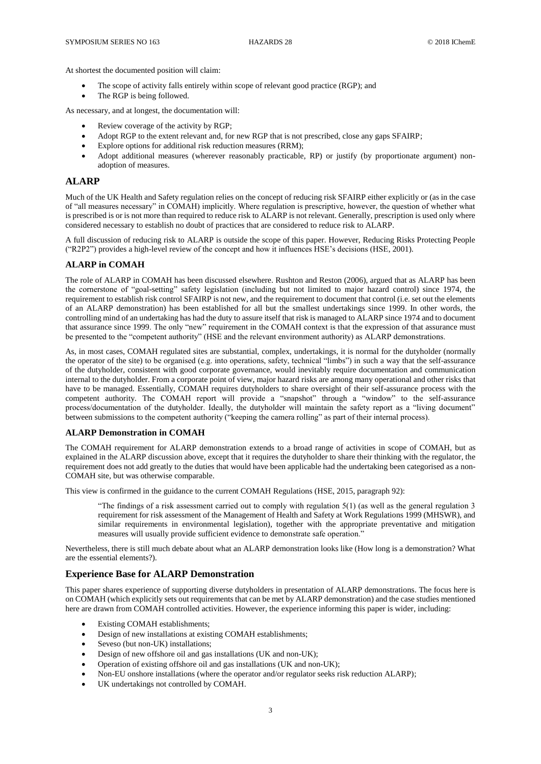At shortest the documented position will claim:

- The scope of activity falls entirely within scope of relevant good practice (RGP); and
- The RGP is being followed.

As necessary, and at longest, the documentation will:

- Review coverage of the activity by RGP;
- Adopt RGP to the extent relevant and, for new RGP that is not prescribed, close any gaps SFAIRP;
- Explore options for additional risk reduction measures (RRM);
- Adopt additional measures (wherever reasonably practicable, RP) or justify (by proportionate argument) nonadoption of measures.

### **ALARP**

Much of the UK Health and Safety regulation relies on the concept of reducing risk SFAIRP either explicitly or (as in the case of "all measures necessary" in COMAH) implicitly. Where regulation is prescriptive, however, the question of whether what is prescribed is or is not more than required to reduce risk to ALARP is not relevant. Generally, prescription is used only where considered necessary to establish no doubt of practices that are considered to reduce risk to ALARP.

A full discussion of reducing risk to ALARP is outside the scope of this paper. However, Reducing Risks Protecting People ("R2P2") provides a high-level review of the concept and how it influences HSE's decisions (HSE, 2001).

#### **ALARP in COMAH**

The role of ALARP in COMAH has been discussed elsewhere. Rushton and Reston (2006), argued that as ALARP has been the cornerstone of "goal-setting" safety legislation (including but not limited to major hazard control) since 1974, the requirement to establish risk control SFAIRP is not new, and the requirement to document that control (i.e. set out the elements of an ALARP demonstration) has been established for all but the smallest undertakings since 1999. In other words, the controlling mind of an undertaking has had the duty to assure itself that risk is managed to ALARP since 1974 and to document that assurance since 1999. The only "new" requirement in the COMAH context is that the expression of that assurance must be presented to the "competent authority" (HSE and the relevant environment authority) as ALARP demonstrations.

As, in most cases, COMAH regulated sites are substantial, complex, undertakings, it is normal for the dutyholder (normally the operator of the site) to be organised (e.g. into operations, safety, technical "limbs") in such a way that the self-assurance of the dutyholder, consistent with good corporate governance, would inevitably require documentation and communication internal to the dutyholder. From a corporate point of view, major hazard risks are among many operational and other risks that have to be managed. Essentially, COMAH requires dutyholders to share oversight of their self-assurance process with the competent authority. The COMAH report will provide a "snapshot" through a "window" to the self-assurance process/documentation of the dutyholder. Ideally, the dutyholder will maintain the safety report as a "living document" between submissions to the competent authority ("keeping the camera rolling" as part of their internal process).

### **ALARP Demonstration in COMAH**

The COMAH requirement for ALARP demonstration extends to a broad range of activities in scope of COMAH, but as explained in the ALARP discussion above, except that it requires the dutyholder to share their thinking with the regulator, the requirement does not add greatly to the duties that would have been applicable had the undertaking been categorised as a non-COMAH site, but was otherwise comparable.

This view is confirmed in the guidance to the current COMAH Regulations (HSE, 2015, paragraph 92):

"The findings of a risk assessment carried out to comply with regulation  $5(1)$  (as well as the general regulation 3 requirement for risk assessment of the Management of Health and Safety at Work Regulations 1999 (MHSWR), and similar requirements in environmental legislation), together with the appropriate preventative and mitigation measures will usually provide sufficient evidence to demonstrate safe operation."

Nevertheless, there is still much debate about what an ALARP demonstration looks like (How long is a demonstration? What are the essential elements?).

### **Experience Base for ALARP Demonstration**

This paper shares experience of supporting diverse dutyholders in presentation of ALARP demonstrations. The focus here is on COMAH (which explicitly sets out requirements that can be met by ALARP demonstration) and the case studies mentioned here are drawn from COMAH controlled activities. However, the experience informing this paper is wider, including:

- Existing COMAH establishments;
- Design of new installations at existing COMAH establishments;
- Seveso (but non-UK) installations;
- Design of new offshore oil and gas installations (UK and non-UK);
- Operation of existing offshore oil and gas installations (UK and non-UK);
- Non-EU onshore installations (where the operator and/or regulator seeks risk reduction ALARP);
- UK undertakings not controlled by COMAH.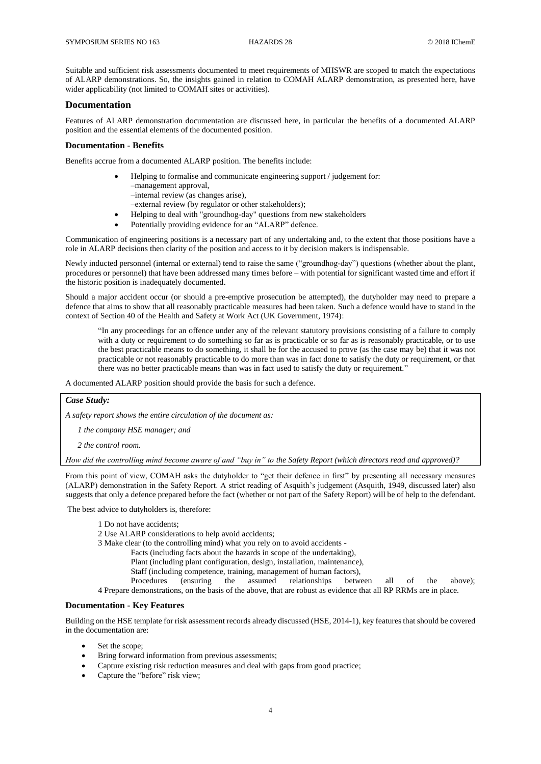Suitable and sufficient risk assessments documented to meet requirements of MHSWR are scoped to match the expectations of ALARP demonstrations. So, the insights gained in relation to COMAH ALARP demonstration, as presented here, have wider applicability (not limited to COMAH sites or activities).

### **Documentation**

Features of ALARP demonstration documentation are discussed here, in particular the benefits of a documented ALARP position and the essential elements of the documented position.

#### **Documentation - Benefits**

Benefits accrue from a documented ALARP position. The benefits include:

- Helping to formalise and communicate engineering support / judgement for: –management approval, –internal review (as changes arise),
	- –external review (by regulator or other stakeholders);
- Helping to deal with "groundhog-day" questions from new stakeholders
- Potentially providing evidence for an "ALARP" defence.

Communication of engineering positions is a necessary part of any undertaking and, to the extent that those positions have a role in ALARP decisions then clarity of the position and access to it by decision makers is indispensable.

Newly inducted personnel (internal or external) tend to raise the same ("groundhog-day") questions (whether about the plant, procedures or personnel) that have been addressed many times before – with potential for significant wasted time and effort if the historic position is inadequately documented.

Should a major accident occur (or should a pre-emptive prosecution be attempted), the dutyholder may need to prepare a defence that aims to show that all reasonably practicable measures had been taken. Such a defence would have to stand in the context of Section 40 of the Health and Safety at Work Act (UK Government, 1974):

"In any proceedings for an offence under any of the relevant statutory provisions consisting of a failure to comply with a duty or requirement to do something so far as is practicable or so far as is reasonably practicable, or to use the best practicable means to do something, it shall be for the accused to prove (as the case may be) that it was not practicable or not reasonably practicable to do more than was in fact done to satisfy the duty or requirement, or that there was no better practicable means than was in fact used to satisfy the duty or requirement."

A documented ALARP position should provide the basis for such a defence.

#### *Case Study:*

*A safety report shows the entire circulation of the document as:* 

 *1 the company HSE manager; and* 

 *2 the control room.*

*How did the controlling mind become aware of and "buy in" to the Safety Report (which directors read and approved)?*

From this point of view, COMAH asks the dutyholder to "get their defence in first" by presenting all necessary measures (ALARP) demonstration in the Safety Report. A strict reading of Asquith's judgement (Asquith, 1949, discussed later) also suggests that only a defence prepared before the fact (whether or not part of the Safety Report) will be of help to the defendant.

The best advice to dutyholders is, therefore:

- 1 Do not have accidents;
- 2 Use ALARP considerations to help avoid accidents;
- 3 Make clear (to the controlling mind) what you rely on to avoid accidents
	- Facts (including facts about the hazards in scope of the undertaking),
	- Plant (including plant configuration, design, installation, maintenance),
	- Staff (including competence, training, management of human factors),
- Procedures (ensuring the assumed relationships between all of the above); 4 Prepare demonstrations, on the basis of the above, that are robust as evidence that all RP RRMs are in place.

### **Documentation - Key Features**

Building on the HSE template for risk assessment records already discussed (HSE, 2014-1), key features that should be covered in the documentation are:

- Set the scope;
- Bring forward information from previous assessments;
- Capture existing risk reduction measures and deal with gaps from good practice;
- Capture the "before" risk view;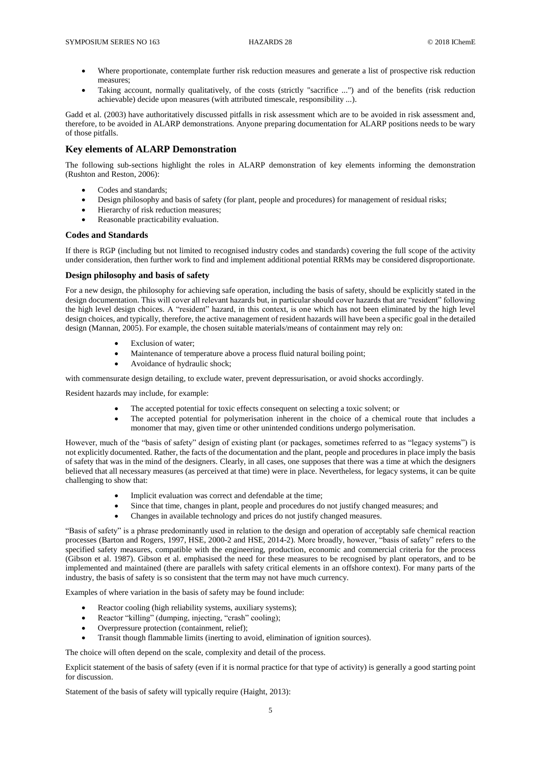- Where proportionate, contemplate further risk reduction measures and generate a list of prospective risk reduction measures;
- Taking account, normally qualitatively, of the costs (strictly "sacrifice ...") and of the benefits (risk reduction achievable) decide upon measures (with attributed timescale, responsibility ...).

Gadd et al. (2003) have authoritatively discussed pitfalls in risk assessment which are to be avoided in risk assessment and, therefore, to be avoided in ALARP demonstrations. Anyone preparing documentation for ALARP positions needs to be wary of those pitfalls.

### **Key elements of ALARP Demonstration**

The following sub-sections highlight the roles in ALARP demonstration of key elements informing the demonstration (Rushton and Reston, 2006):

- Codes and standards;
- Design philosophy and basis of safety (for plant, people and procedures) for management of residual risks;
- Hierarchy of risk reduction measures;
- Reasonable practicability evaluation.

## **Codes and Standards**

If there is RGP (including but not limited to recognised industry codes and standards) covering the full scope of the activity under consideration, then further work to find and implement additional potential RRMs may be considered disproportionate.

### **Design philosophy and basis of safety**

For a new design, the philosophy for achieving safe operation, including the basis of safety, should be explicitly stated in the design documentation. This will cover all relevant hazards but, in particular should cover hazards that are "resident" following the high level design choices. A "resident" hazard, in this context, is one which has not been eliminated by the high level design choices, and typically, therefore, the active management of resident hazards will have been a specific goal in the detailed design (Mannan, 2005). For example, the chosen suitable materials/means of containment may rely on:

- Exclusion of water;
- Maintenance of temperature above a process fluid natural boiling point;
- Avoidance of hydraulic shock;

with commensurate design detailing, to exclude water, prevent depressurisation, or avoid shocks accordingly.

Resident hazards may include, for example:

- The accepted potential for toxic effects consequent on selecting a toxic solvent; or
- The accepted potential for polymerisation inherent in the choice of a chemical route that includes a monomer that may, given time or other unintended conditions undergo polymerisation.

However, much of the "basis of safety" design of existing plant (or packages, sometimes referred to as "legacy systems") is not explicitly documented. Rather, the facts of the documentation and the plant, people and procedures in place imply the basis of safety that was in the mind of the designers. Clearly, in all cases, one supposes that there was a time at which the designers believed that all necessary measures (as perceived at that time) were in place. Nevertheless, for legacy systems, it can be quite challenging to show that:

- Implicit evaluation was correct and defendable at the time;
- Since that time, changes in plant, people and procedures do not justify changed measures; and
- Changes in available technology and prices do not justify changed measures.

"Basis of safety" is a phrase predominantly used in relation to the design and operation of acceptably safe chemical reaction processes (Barton and Rogers, 1997, HSE, 2000-2 and HSE, 2014-2). More broadly, however, "basis of safety" refers to the specified safety measures, compatible with the engineering, production, economic and commercial criteria for the process (Gibson et al. 1987). Gibson et al. emphasised the need for these measures to be recognised by plant operators, and to be implemented and maintained (there are parallels with safety critical elements in an offshore context). For many parts of the industry, the basis of safety is so consistent that the term may not have much currency.

Examples of where variation in the basis of safety may be found include:

- Reactor cooling (high reliability systems, auxiliary systems);
- Reactor "killing" (dumping, injecting, "crash" cooling);
- Overpressure protection (containment, relief);
- Transit though flammable limits (inerting to avoid, elimination of ignition sources).

The choice will often depend on the scale, complexity and detail of the process.

Explicit statement of the basis of safety (even if it is normal practice for that type of activity) is generally a good starting point for discussion.

Statement of the basis of safety will typically require (Haight, 2013):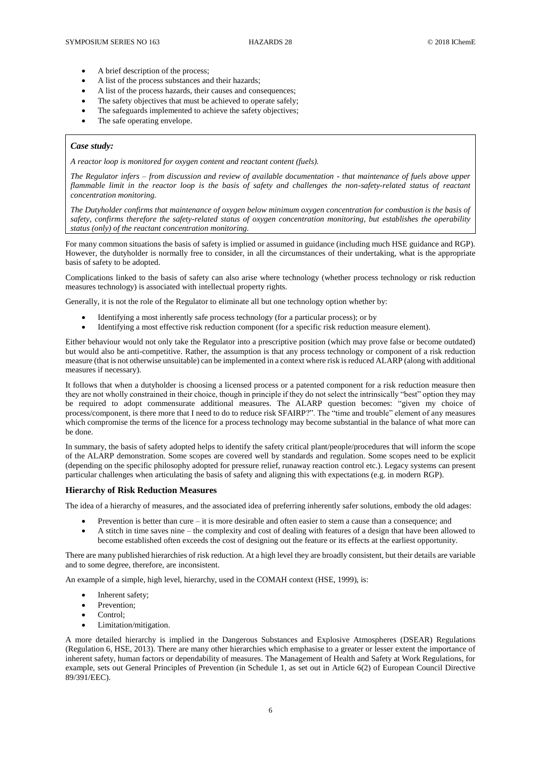- A brief description of the process;
- A list of the process substances and their hazards;
- A list of the process hazards, their causes and consequences;
- The safety objectives that must be achieved to operate safely;
- The safeguards implemented to achieve the safety objectives;
- The safe operating envelope.

### *Case study:*

*A reactor loop is monitored for oxygen content and reactant content (fuels).*

*The Regulator infers – from discussion and review of available documentation - that maintenance of fuels above upper flammable limit in the reactor loop is the basis of safety and challenges the non-safety-related status of reactant concentration monitoring.*

*The Dutyholder confirms that maintenance of oxygen below minimum oxygen concentration for combustion is the basis of safety, confirms therefore the safety-related status of oxygen concentration monitoring, but establishes the operability status (only) of the reactant concentration monitoring.*

For many common situations the basis of safety is implied or assumed in guidance (including much HSE guidance and RGP). However, the dutyholder is normally free to consider, in all the circumstances of their undertaking, what is the appropriate basis of safety to be adopted.

Complications linked to the basis of safety can also arise where technology (whether process technology or risk reduction measures technology) is associated with intellectual property rights.

Generally, it is not the role of the Regulator to eliminate all but one technology option whether by:

- Identifying a most inherently safe process technology (for a particular process); or by
- Identifying a most effective risk reduction component (for a specific risk reduction measure element).

Either behaviour would not only take the Regulator into a prescriptive position (which may prove false or become outdated) but would also be anti-competitive. Rather, the assumption is that any process technology or component of a risk reduction measure (that is not otherwise unsuitable) can be implemented in a context where risk is reduced ALARP (along with additional measures if necessary).

It follows that when a dutyholder is choosing a licensed process or a patented component for a risk reduction measure then they are not wholly constrained in their choice, though in principle if they do not select the intrinsically "best" option they may be required to adopt commensurate additional measures. The ALARP question becomes: "given my choice of process/component, is there more that I need to do to reduce risk SFAIRP?". The "time and trouble" element of any measures which compromise the terms of the licence for a process technology may become substantial in the balance of what more can be done.

In summary, the basis of safety adopted helps to identify the safety critical plant/people/procedures that will inform the scope of the ALARP demonstration. Some scopes are covered well by standards and regulation. Some scopes need to be explicit (depending on the specific philosophy adopted for pressure relief, runaway reaction control etc.). Legacy systems can present particular challenges when articulating the basis of safety and aligning this with expectations (e.g. in modern RGP).

### **Hierarchy of Risk Reduction Measures**

The idea of a hierarchy of measures, and the associated idea of preferring inherently safer solutions, embody the old adages:

- Prevention is better than cure it is more desirable and often easier to stem a cause than a consequence; and
- A stitch in time saves nine the complexity and cost of dealing with features of a design that have been allowed to become established often exceeds the cost of designing out the feature or its effects at the earliest opportunity.

There are many published hierarchies of risk reduction. At a high level they are broadly consistent, but their details are variable and to some degree, therefore, are inconsistent.

An example of a simple, high level, hierarchy, used in the COMAH context (HSE, 1999), is:

- Inherent safety;
- Prevention:
- Control:
- Limitation/mitigation.

A more detailed hierarchy is implied in the Dangerous Substances and Explosive Atmospheres (DSEAR) Regulations (Regulation 6, HSE, 2013). There are many other hierarchies which emphasise to a greater or lesser extent the importance of inherent safety, human factors or dependability of measures. The Management of Health and Safety at Work Regulations, for example, sets out General Principles of Prevention (in Schedule 1, as set out in Article 6(2) of European Council Directive 89/391/EEC).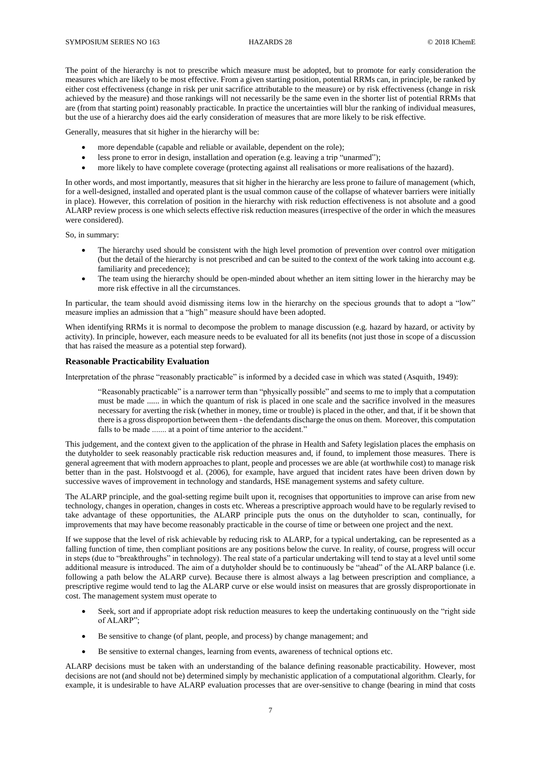The point of the hierarchy is not to prescribe which measure must be adopted, but to promote for early consideration the measures which are likely to be most effective. From a given starting position, potential RRMs can, in principle, be ranked by either cost effectiveness (change in risk per unit sacrifice attributable to the measure) or by risk effectiveness (change in risk achieved by the measure) and those rankings will not necessarily be the same even in the shorter list of potential RRMs that are (from that starting point) reasonably practicable. In practice the uncertainties will blur the ranking of individual measures, but the use of a hierarchy does aid the early consideration of measures that are more likely to be risk effective.

Generally, measures that sit higher in the hierarchy will be:

- more dependable (capable and reliable or available, dependent on the role);
- less prone to error in design, installation and operation (e.g. leaving a trip "unarmed");
- more likely to have complete coverage (protecting against all realisations or more realisations of the hazard).

In other words, and most importantly, measures that sit higher in the hierarchy are less prone to failure of management (which, for a well-designed, installed and operated plant is the usual common cause of the collapse of whatever barriers were initially in place). However, this correlation of position in the hierarchy with risk reduction effectiveness is not absolute and a good ALARP review process is one which selects effective risk reduction measures (irrespective of the order in which the measures were considered).

So, in summary:

- The hierarchy used should be consistent with the high level promotion of prevention over control over mitigation (but the detail of the hierarchy is not prescribed and can be suited to the context of the work taking into account e.g. familiarity and precedence);
- The team using the hierarchy should be open-minded about whether an item sitting lower in the hierarchy may be more risk effective in all the circumstances.

In particular, the team should avoid dismissing items low in the hierarchy on the specious grounds that to adopt a "low" measure implies an admission that a "high" measure should have been adopted.

When identifying RRMs it is normal to decompose the problem to manage discussion (e.g. hazard by hazard, or activity by activity). In principle, however, each measure needs to be evaluated for all its benefits (not just those in scope of a discussion that has raised the measure as a potential step forward).

### **Reasonable Practicability Evaluation**

Interpretation of the phrase "reasonably practicable" is informed by a decided case in which was stated (Asquith, 1949):

"Reasonably practicable" is a narrower term than "physically possible" and seems to me to imply that a computation must be made ...... in which the quantum of risk is placed in one scale and the sacrifice involved in the measures necessary for averting the risk (whether in money, time or trouble) is placed in the other, and that, if it be shown that there is a gross disproportion between them - the defendants discharge the onus on them. Moreover, this computation falls to be made ....... at a point of time anterior to the accident."

This judgement, and the context given to the application of the phrase in Health and Safety legislation places the emphasis on the dutyholder to seek reasonably practicable risk reduction measures and, if found, to implement those measures. There is general agreement that with modern approaches to plant, people and processes we are able (at worthwhile cost) to manage risk better than in the past. Holstvoogd et al. (2006), for example, have argued that incident rates have been driven down by successive waves of improvement in technology and standards, HSE management systems and safety culture.

The ALARP principle, and the goal-setting regime built upon it, recognises that opportunities to improve can arise from new technology, changes in operation, changes in costs etc. Whereas a prescriptive approach would have to be regularly revised to take advantage of these opportunities, the ALARP principle puts the onus on the dutyholder to scan, continually, for improvements that may have become reasonably practicable in the course of time or between one project and the next.

If we suppose that the level of risk achievable by reducing risk to ALARP, for a typical undertaking, can be represented as a falling function of time, then compliant positions are any positions below the curve. In reality, of course, progress will occur in steps (due to "breakthroughs" in technology). The real state of a particular undertaking will tend to stay at a level until some additional measure is introduced. The aim of a dutyholder should be to continuously be "ahead" of the ALARP balance (i.e. following a path below the ALARP curve). Because there is almost always a lag between prescription and compliance, a prescriptive regime would tend to lag the ALARP curve or else would insist on measures that are grossly disproportionate in cost. The management system must operate to

- Seek, sort and if appropriate adopt risk reduction measures to keep the undertaking continuously on the "right side of ALARP";
- Be sensitive to change (of plant, people, and process) by change management; and
- Be sensitive to external changes, learning from events, awareness of technical options etc.

ALARP decisions must be taken with an understanding of the balance defining reasonable practicability. However, most decisions are not (and should not be) determined simply by mechanistic application of a computational algorithm. Clearly, for example, it is undesirable to have ALARP evaluation processes that are over-sensitive to change (bearing in mind that costs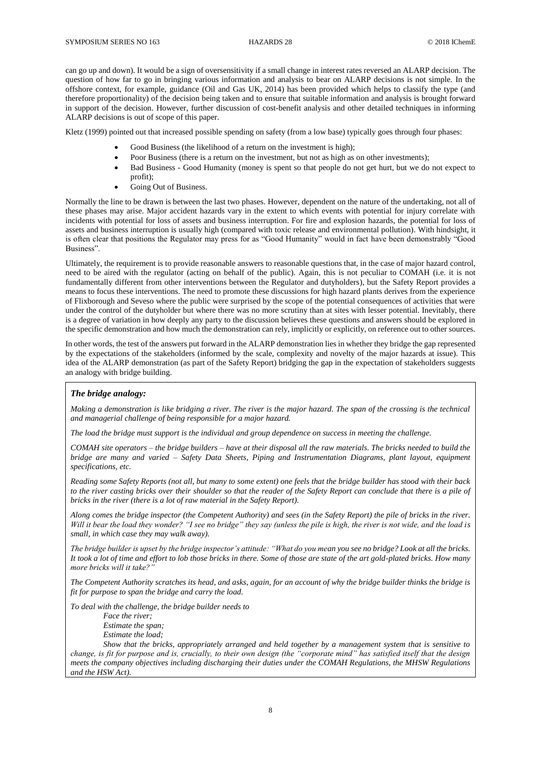can go up and down). It would be a sign of oversensitivity if a small change in interest rates reversed an ALARP decision. The question of how far to go in bringing various information and analysis to bear on ALARP decisions is not simple. In the offshore context, for example, guidance (Oil and Gas UK, 2014) has been provided which helps to classify the type (and therefore proportionality) of the decision being taken and to ensure that suitable information and analysis is brought forward in support of the decision. However, further discussion of cost-benefit analysis and other detailed techniques in informing ALARP decisions is out of scope of this paper.

Kletz (1999) pointed out that increased possible spending on safety (from a low base) typically goes through four phases:

- Good Business (the likelihood of a return on the investment is high);
- Poor Business (there is a return on the investment, but not as high as on other investments);
- Bad Business Good Humanity (money is spent so that people do not get hurt, but we do not expect to profit);
	- Going Out of Business.

Normally the line to be drawn is between the last two phases. However, dependent on the nature of the undertaking, not all of these phases may arise. Major accident hazards vary in the extent to which events with potential for injury correlate with incidents with potential for loss of assets and business interruption. For fire and explosion hazards, the potential for loss of assets and business interruption is usually high (compared with toxic release and environmental pollution). With hindsight, it is often clear that positions the Regulator may press for as "Good Humanity" would in fact have been demonstrably "Good Business".

Ultimately, the requirement is to provide reasonable answers to reasonable questions that, in the case of major hazard control, need to be aired with the regulator (acting on behalf of the public). Again, this is not peculiar to COMAH (i.e. it is not fundamentally different from other interventions between the Regulator and dutyholders), but the Safety Report provides a means to focus these interventions. The need to promote these discussions for high hazard plants derives from the experience of Flixborough and Seveso where the public were surprised by the scope of the potential consequences of activities that were under the control of the dutyholder but where there was no more scrutiny than at sites with lesser potential. Inevitably, there is a degree of variation in how deeply any party to the discussion believes these questions and answers should be explored in the specific demonstration and how much the demonstration can rely, implicitly or explicitly, on reference out to other sources.

In other words, the test of the answers put forward in the ALARP demonstration lies in whether they bridge the gap represented by the expectations of the stakeholders (informed by the scale, complexity and novelty of the major hazards at issue). This idea of the ALARP demonstration (as part of the Safety Report) bridging the gap in the expectation of stakeholders suggests an analogy with bridge building.

### *The bridge analogy:*

*Making a demonstration is like bridging a river. The river is the major hazard. The span of the crossing is the technical and managerial challenge of being responsible for a major hazard.*

*The load the bridge must support is the individual and group dependence on success in meeting the challenge.*

*COMAH site operators – the bridge builders – have at their disposal all the raw materials. The bricks needed to build the bridge are many and varied – Safety Data Sheets, Piping and Instrumentation Diagrams, plant layout, equipment specifications, etc.*

*Reading some Safety Reports (not all, but many to some extent) one feels that the bridge builder has stood with their back*  to the river casting bricks over their shoulder so that the reader of the Safety Report can conclude that there is a pile of *bricks in the river (there is a lot of raw material in the Safety Report).*

*Along comes the bridge inspector (the Competent Authority) and sees (in the Safety Report) the pile of bricks in the river. Will it bear the load they wonder? "I see no bridge" they say (unless the pile is high, the river is not wide, and the load is small, in which case they may walk away).*

*The bridge builder is upset by the bridge inspector's attitude: "What do you mean you see no bridge? Look at all the bricks. It took a lot of time and effort to lob those bricks in there. Some of those are state of the art gold-plated bricks. How many more bricks will it take?"* 

*The Competent Authority scratches its head, and asks, again, for an account of why the bridge builder thinks the bridge is fit for purpose to span the bridge and carry the load.*

*To deal with the challenge, the bridge builder needs to* 

*Face the river; Estimate the span;*

*Estimate the load;*

*Show that the bricks, appropriately arranged and held together by a management system that is sensitive to change, is fit for purpose and is, crucially, to their own design (the "corporate mind" has satisfied itself that the design meets the company objectives including discharging their duties under the COMAH Regulations, the MHSW Regulations and the HSW Act).*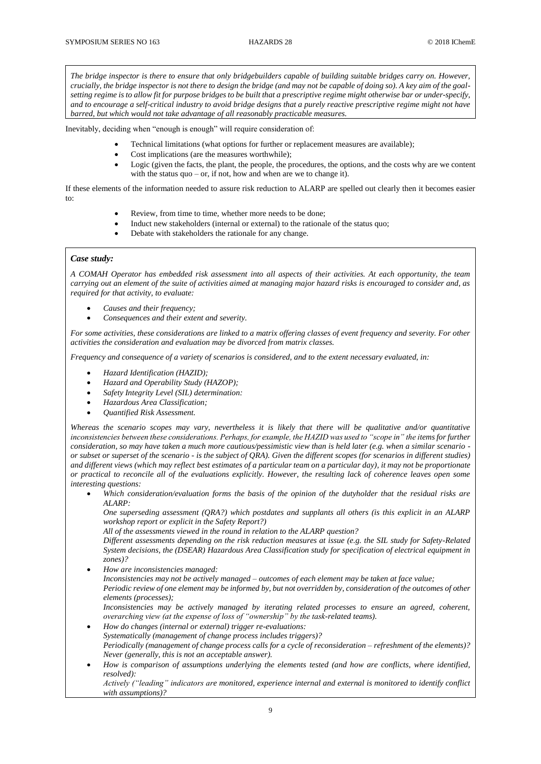*The bridge inspector is there to ensure that only bridgebuilders capable of building suitable bridges carry on. However, crucially, the bridge inspector is not there to design the bridge (and may not be capable of doing so). A key aim of the goalsetting regime is to allow fit for purpose bridges to be built that a prescriptive regime might otherwise bar or under-specify, and to encourage a self-critical industry to avoid bridge designs that a purely reactive prescriptive regime might not have barred, but which would not take advantage of all reasonably practicable measures.*

Inevitably, deciding when "enough is enough" will require consideration of:

- Technical limitations (what options for further or replacement measures are available);
- Cost implications (are the measures worthwhile);
- Logic (given the facts, the plant, the people, the procedures, the options, and the costs why are we content with the status quo – or, if not, how and when are we to change it).

If these elements of the information needed to assure risk reduction to ALARP are spelled out clearly then it becomes easier to:

- Review, from time to time, whether more needs to be done;
- Induct new stakeholders (internal or external) to the rationale of the status quo;
- Debate with stakeholders the rationale for any change.

### *Case study:*

*A COMAH Operator has embedded risk assessment into all aspects of their activities. At each opportunity, the team carrying out an element of the suite of activities aimed at managing major hazard risks is encouraged to consider and, as required for that activity, to evaluate:*

- *Causes and their frequency;*
- *Consequences and their extent and severity.*

*For some activities, these considerations are linked to a matrix offering classes of event frequency and severity. For other activities the consideration and evaluation may be divorced from matrix classes.*

*Frequency and consequence of a variety of scenarios is considered, and to the extent necessary evaluated, in:*

- *Hazard Identification (HAZID);*
- *Hazard and Operability Study (HAZOP);*
- *Safety Integrity Level (SIL) determination:*
- *Hazardous Area Classification;*
- *Quantified Risk Assessment.*

*Whereas the scenario scopes may vary, nevertheless it is likely that there will be qualitative and/or quantitative*  inconsistencies between these considerations. Perhaps, for example, the HAZID was used to "scope in" the items for further *consideration, so may have taken a much more cautious/pessimistic view than is held later (e.g. when a similar scenario or subset or superset of the scenario - is the subject of QRA). Given the different scopes (for scenarios in different studies) and different views (which may reflect best estimates of a particular team on a particular day), it may not be proportionate or practical to reconcile all of the evaluations explicitly. However, the resulting lack of coherence leaves open some interesting questions:*

• *Which consideration/evaluation forms the basis of the opinion of the dutyholder that the residual risks are ALARP:*

*One superseding assessment (QRA?) which postdates and supplants all others (is this explicit in an ALARP workshop report or explicit in the Safety Report?)*

*All of the assessments viewed in the round in relation to the ALARP question?*

*Different assessments depending on the risk reduction measures at issue (e.g. the SIL study for Safety-Related System decisions, the (DSEAR) Hazardous Area Classification study for specification of electrical equipment in zones)?*

- *How are inconsistencies managed: Inconsistencies may not be actively managed – outcomes of each element may be taken at face value; Periodic review of one element may be informed by, but not overridden by, consideration of the outcomes of other elements (processes); Inconsistencies may be actively managed by iterating related processes to ensure an agreed, coherent, overarching view (at the expense of loss of "ownership" by the task-related teams).* • *How do changes (internal or external) trigger re-evaluations: Systematically (management of change process includes triggers)? Periodically (management of change process calls for a cycle of reconsideration – refreshment of the elements)?*
- *Never (generally, this is not an acceptable answer).* • *How is comparison of assumptions underlying the elements tested (and how are conflicts, where identified, resolved):*

*Actively ("leading" indicators are monitored, experience internal and external is monitored to identify conflict with assumptions)?*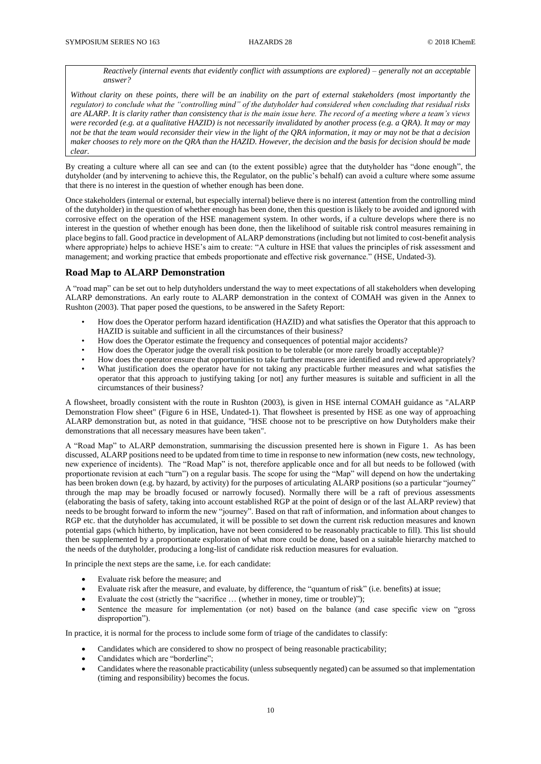*Reactively (internal events that evidently conflict with assumptions are explored) – generally not an acceptable answer?*

*Without clarity on these points, there will be an inability on the part of external stakeholders (most importantly the regulator) to conclude what the "controlling mind" of the dutyholder had considered when concluding that residual risks are ALARP. It is clarity rather than consistency that is the main issue here. The record of a meeting where a team's views were recorded (e.g. at a qualitative HAZID) is not necessarily invalidated by another process (e.g. a QRA). It may or may not be that the team would reconsider their view in the light of the QRA information, it may or may not be that a decision maker chooses to rely more on the QRA than the HAZID. However, the decision and the basis for decision should be made clear.*

By creating a culture where all can see and can (to the extent possible) agree that the dutyholder has "done enough", the dutyholder (and by intervening to achieve this, the Regulator, on the public's behalf) can avoid a culture where some assume that there is no interest in the question of whether enough has been done.

Once stakeholders (internal or external, but especially internal) believe there is no interest (attention from the controlling mind of the dutyholder) in the question of whether enough has been done, then this question is likely to be avoided and ignored with corrosive effect on the operation of the HSE management system. In other words, if a culture develops where there is no interest in the question of whether enough has been done, then the likelihood of suitable risk control measures remaining in place begins to fall. Good practice in development of ALARP demonstrations (including but not limited to cost-benefit analysis where appropriate) helps to achieve HSE's aim to create: "A culture in HSE that values the principles of risk assessment and management; and working practice that embeds proportionate and effective risk governance." (HSE, Undated-3).

### **Road Map to ALARP Demonstration**

A "road map" can be set out to help dutyholders understand the way to meet expectations of all stakeholders when developing ALARP demonstrations. An early route to ALARP demonstration in the context of COMAH was given in the Annex to Rushton (2003). That paper posed the questions, to be answered in the Safety Report:

- How does the Operator perform hazard identification (HAZID) and what satisfies the Operator that this approach to HAZID is suitable and sufficient in all the circumstances of their business?
- How does the Operator estimate the frequency and consequences of potential major accidents?
- How does the Operator judge the overall risk position to be tolerable (or more rarely broadly acceptable)?
- How does the operator ensure that opportunities to take further measures are identified and reviewed appropriately? What justification does the operator have for not taking any practicable further measures and what satisfies the operator that this approach to justifying taking [or not] any further measures is suitable and sufficient in all the circumstances of their business?

A flowsheet, broadly consistent with the route in Rushton (2003), is given in HSE internal COMAH guidance as "ALARP Demonstration Flow sheet" (Figure 6 in HSE, Undated-1). That flowsheet is presented by HSE as one way of approaching ALARP demonstration but, as noted in that guidance, "HSE choose not to be prescriptive on how Dutyholders make their demonstrations that all necessary measures have been taken".

A "Road Map" to ALARP demonstration, summarising the discussion presented here is shown in Figure 1. As has been discussed, ALARP positions need to be updated from time to time in response to new information (new costs, new technology, new experience of incidents). The "Road Map" is not, therefore applicable once and for all but needs to be followed (with proportionate revision at each "turn") on a regular basis. The scope for using the "Map" will depend on how the undertaking has been broken down (e.g. by hazard, by activity) for the purposes of articulating ALARP positions (so a particular "journey" through the map may be broadly focused or narrowly focused). Normally there will be a raft of previous assessments (elaborating the basis of safety, taking into account established RGP at the point of design or of the last ALARP review) that needs to be brought forward to inform the new "journey". Based on that raft of information, and information about changes to RGP etc. that the dutyholder has accumulated, it will be possible to set down the current risk reduction measures and known potential gaps (which hitherto, by implication, have not been considered to be reasonably practicable to fill). This list should then be supplemented by a proportionate exploration of what more could be done, based on a suitable hierarchy matched to the needs of the dutyholder, producing a long-list of candidate risk reduction measures for evaluation.

In principle the next steps are the same, i.e. for each candidate:

- Evaluate risk before the measure; and
- Evaluate risk after the measure, and evaluate, by difference, the "quantum of risk" (i.e. benefits) at issue;
- Evaluate the cost (strictly the "sacrifice … (whether in money, time or trouble)");
- Sentence the measure for implementation (or not) based on the balance (and case specific view on "gross disproportion").

In practice, it is normal for the process to include some form of triage of the candidates to classify:

- Candidates which are considered to show no prospect of being reasonable practicability;
- Candidates which are "borderline";
- Candidates where the reasonable practicability (unless subsequently negated) can be assumed so that implementation (timing and responsibility) becomes the focus.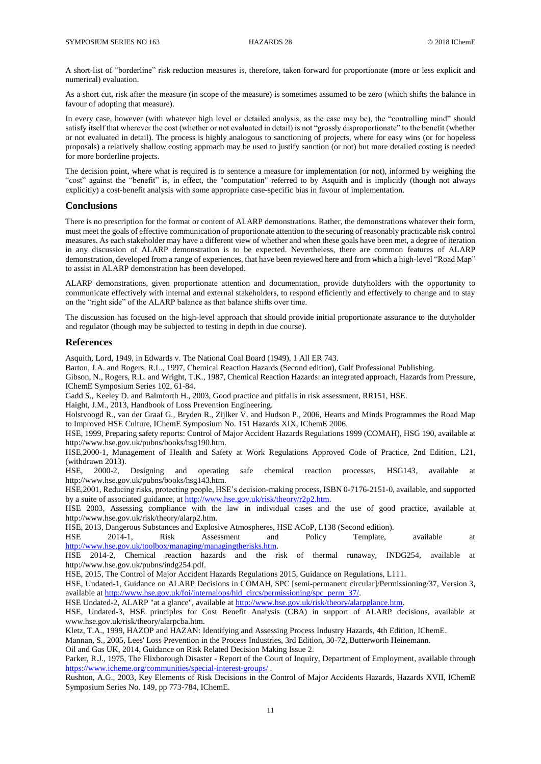A short-list of "borderline" risk reduction measures is, therefore, taken forward for proportionate (more or less explicit and numerical) evaluation.

As a short cut, risk after the measure (in scope of the measure) is sometimes assumed to be zero (which shifts the balance in favour of adopting that measure).

In every case, however (with whatever high level or detailed analysis, as the case may be), the "controlling mind" should satisfy itself that wherever the cost (whether or not evaluated in detail) is not "grossly disproportionate" to the benefit (whether or not evaluated in detail). The process is highly analogous to sanctioning of projects, where for easy wins (or for hopeless proposals) a relatively shallow costing approach may be used to justify sanction (or not) but more detailed costing is needed for more borderline projects.

The decision point, where what is required is to sentence a measure for implementation (or not), informed by weighing the "cost" against the "benefit" is, in effect, the "computation" referred to by Asquith and is implicitly (though not always explicitly) a cost-benefit analysis with some appropriate case-specific bias in favour of implementation.

### **Conclusions**

There is no prescription for the format or content of ALARP demonstrations. Rather, the demonstrations whatever their form, must meet the goals of effective communication of proportionate attention to the securing of reasonably practicable risk control measures. As each stakeholder may have a different view of whether and when these goals have been met, a degree of iteration in any discussion of ALARP demonstration is to be expected. Nevertheless, there are common features of ALARP demonstration, developed from a range of experiences, that have been reviewed here and from which a high-level "Road Map" to assist in ALARP demonstration has been developed.

ALARP demonstrations, given proportionate attention and documentation, provide dutyholders with the opportunity to communicate effectively with internal and external stakeholders, to respond efficiently and effectively to change and to stay on the "right side" of the ALARP balance as that balance shifts over time.

The discussion has focused on the high-level approach that should provide initial proportionate assurance to the dutyholder and regulator (though may be subjected to testing in depth in due course).

### **References**

Asquith, Lord, 1949, in Edwards v. The National Coal Board (1949), 1 All ER 743.

Barton, J.A. and Rogers, R.L., 1997, Chemical Reaction Hazards (Second edition), Gulf Professional Publishing.

Gibson, N., Rogers, R.L. and Wright, T.K., 1987, Chemical Reaction Hazards: an integrated approach, Hazards from Pressure, IChemE Symposium Series 102, 61-84.

Gadd S., Keeley D. and Balmforth H., 2003, Good practice and pitfalls in risk assessment, RR151, HSE.

Haight, J.M., 2013, Handbook of Loss Prevention Engineering.

Holstvoogd R., van der Graaf G., Bryden R., Zijlker V. and Hudson P., 2006, Hearts and Minds Programmes the Road Map to Improved HSE Culture, IChemE Symposium No. 151 Hazards XIX, IChemE 2006.

HSE, 1999, Preparing safety reports: Control of Major Accident Hazards Regulations 1999 (COMAH), HSG 190, available at http://www.hse.gov.uk/pubns/books/hsg190.htm.

HSE,2000-1, Management of Health and Safety at Work Regulations Approved Code of Practice, 2nd Edition, L21, (withdrawn 2013).

HSE, 2000-2, Designing and operating safe chemical reaction processes, HSG143, available at http://www.hse.gov.uk/pubns/books/hsg143.htm.

HSE,2001, Reducing risks, protecting people, HSE's decision-making process, ISBN 0-7176-2151-0, available, and supported by a suite of associated guidance, a[t http://www.hse.gov.uk/risk/theory/r2p2.htm.](http://www.hse.gov.uk/risk/theory/r2p2.htm)

HSE 2003, Assessing compliance with the law in individual cases and the use of good practice, available at http://www.hse.gov.uk/risk/theory/alarp2.htm.

HSE, 2013, Dangerous Substances and Explosive Atmospheres, HSE ACoP, L138 (Second edition).

HSE 2014-1, Risk Assessment and Policy Template, available at [http://www.hse.gov.uk/toolbox/managing/managingtherisks.htm.](http://www.hse.gov.uk/toolbox/managing/managingtherisks.htm)

HSE 2014-2, Chemical reaction hazards and the risk of thermal runaway, INDG254, available at http://www.hse.gov.uk/pubns/indg254.pdf.

HSE, 2015, The Control of Major Accident Hazards Regulations 2015, Guidance on Regulations, L111.

HSE. Undated-1, Guidance on ALARP Decisions in COMAH, SPC [semi-permanent circular]/Permissioning/37, Version 3, available a[t http://www.hse.gov.uk/foi/internalops/hid\\_circs/permissioning/spc\\_perm\\_37/.](http://www.hse.gov.uk/foi/internalops/hid_circs/permissioning/spc_perm_37/)

HSE Undated-2, ALARP "at a glance", available at [http://www.hse.gov.uk/risk/theory/alarpglance.htm.](http://www.hse.gov.uk/risk/theory/alarpglance.htm)

HSE, Undated-3, HSE principles for Cost Benefit Analysis (CBA) in support of ALARP decisions, available at www.hse.gov.uk/risk/theory/alarpcba.htm.

Kletz, T.A., 1999, HAZOP and HAZAN: Identifying and Assessing Process Industry Hazards, 4th Edition, IChemE.

Mannan, S., 2005, Lees' Loss Prevention in the Process Industries, 3rd Edition, 30-72, Butterworth Heinemann.

Oil and Gas UK, 2014, Guidance on Risk Related Decision Making Issue 2.

Parker, R.J., 1975, The Flixborough Disaster - Report of the Court of Inquiry, Department of Employment, available through <https://www.icheme.org/communities/special-interest-groups/> .

Rushton, A.G., 2003, Key Elements of Risk Decisions in the Control of Major Accidents Hazards, Hazards XVII, IChemE Symposium Series No. 149, pp 773-784, IChemE.